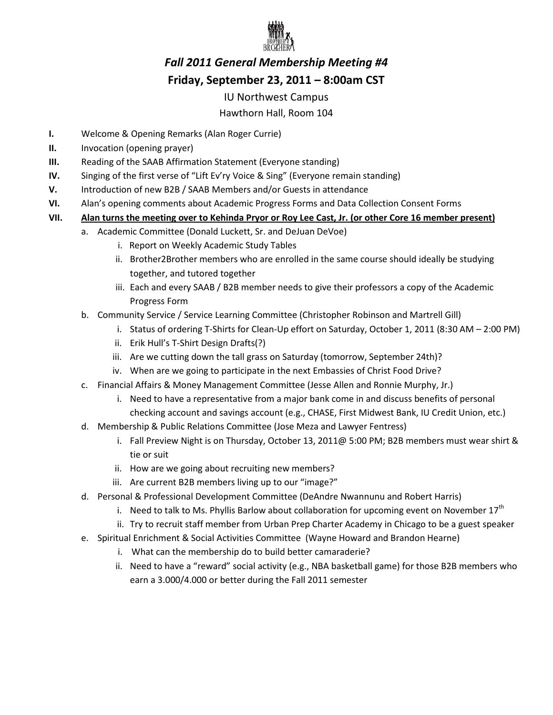

# *Fall 2011 General Membership Meeting #4*  **Friday, September 23, 2011 – 8:00am CST**

#### IU Northwest Campus

### Hawthorn Hall, Room 104

- **I.** Welcome & Opening Remarks (Alan Roger Currie)
- **II.** Invocation (opening prayer)
- **III.** Reading of the SAAB Affirmation Statement (Everyone standing)
- **IV.** Singing of the first verse of "Lift Ev'ry Voice & Sing" (Everyone remain standing)
- **V.** Introduction of new B2B / SAAB Members and/or Guests in attendance
- **VI.** Alan's opening comments about Academic Progress Forms and Data Collection Consent Forms

#### **VII. Alan turns the meeting over to Kehinda Pryor or Roy Lee Cast, Jr. (or other Core 16 member present)**

- a. Academic Committee (Donald Luckett, Sr. and DeJuan DeVoe)
	- i. Report on Weekly Academic Study Tables
	- ii. Brother2Brother members who are enrolled in the same course should ideally be studying together, and tutored together
	- iii. Each and every SAAB / B2B member needs to give their professors a copy of the Academic Progress Form
- b. Community Service / Service Learning Committee (Christopher Robinson and Martrell Gill)
	- i. Status of ordering T-Shirts for Clean-Up effort on Saturday, October 1, 2011 (8:30 AM 2:00 PM)
	- ii. Erik Hull's T-Shirt Design Drafts(?)
	- iii. Are we cutting down the tall grass on Saturday (tomorrow, September 24th)?
	- iv. When are we going to participate in the next Embassies of Christ Food Drive?
- c. Financial Affairs & Money Management Committee (Jesse Allen and Ronnie Murphy, Jr.)
	- i. Need to have a representative from a major bank come in and discuss benefits of personal checking account and savings account (e.g., CHASE, First Midwest Bank, IU Credit Union, etc.)
- d. Membership & Public Relations Committee (Jose Meza and Lawyer Fentress)
	- i. Fall Preview Night is on Thursday, October 13, 2011@ 5:00 PM; B2B members must wear shirt & tie or suit
	- ii. How are we going about recruiting new members?
	- iii. Are current B2B members living up to our "image?"
- d. Personal & Professional Development Committee (DeAndre Nwannunu and Robert Harris)
	- i. Need to talk to Ms. Phyllis Barlow about collaboration for upcoming event on November  $17^{\text{th}}$
	- ii. Try to recruit staff member from Urban Prep Charter Academy in Chicago to be a guest speaker
- e. Spiritual Enrichment & Social Activities Committee (Wayne Howard and Brandon Hearne)
	- i. What can the membership do to build better camaraderie?
	- ii. Need to have a "reward" social activity (e.g., NBA basketball game) for those B2B members who earn a 3.000/4.000 or better during the Fall 2011 semester